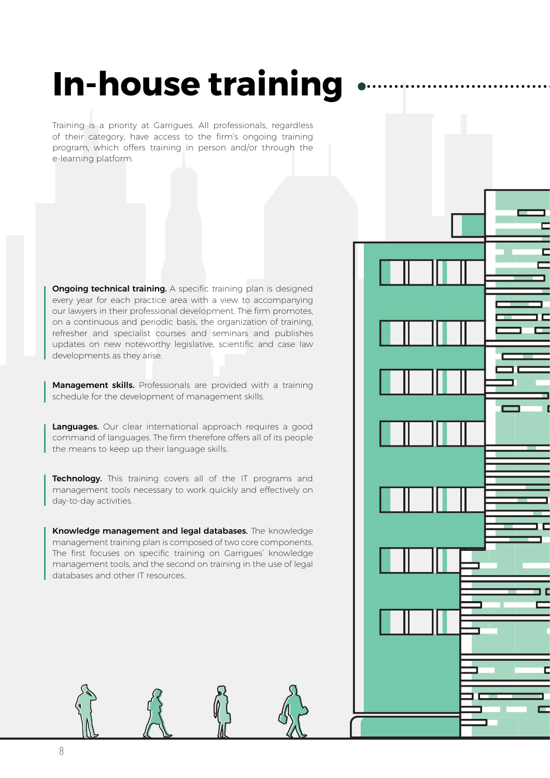# **In-house training**

Training is a priority at Garrigues. All professionals, regardless of their category, have access to the firm's ongoing training program, which offers training in person and/or through the e-learning platform.

**Ongoing technical training.** A specific training plan is designed every year for each practice area with a view to accompanying our lawyers in their professional development. The firm promotes, on a continuous and periodic basis, the organization of training, refresher and specialist courses and seminars and publishes updates on new noteworthy legislative, scientific and case law developments as they arise.

ם נ

Г

Г

Management skills. Professionals are provided with a training schedule for the development of management skills.

Languages. Our clear international approach requires a good command of languages. The firm therefore offers all of its people the means to keep up their language skills.

Technology. This training covers all of the IT programs and management tools necessary to work quickly and effectively on day-to-day activities.

Knowledge management and legal databases. The knowledge management training plan is composed of two core components. The first focuses on specific training on Garrigues' knowledge management tools, and the second on training in the use of legal databases and other IT resources.